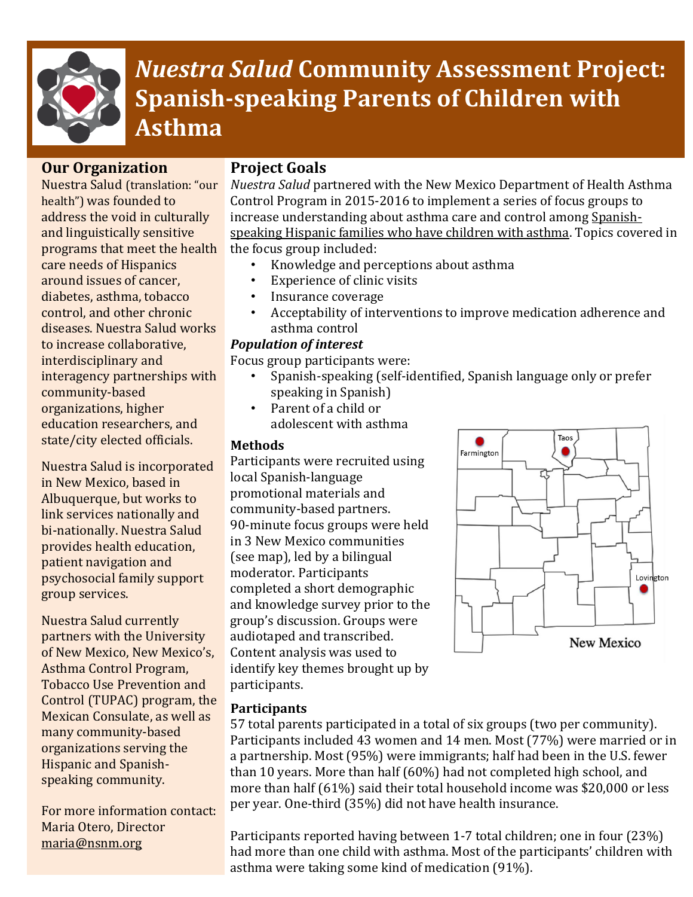

# *Nuestra Salud* **Community Assessment Project: Spanish-speaking Parents of Children with Asthma**

## **Our Organization**

Nuestra Salud (translation: "our health") was founded to address the void in culturally and linguistically sensitive programs that meet the health care needs of Hispanics around issues of cancer, diabetes, asthma, tobacco control, and other chronic diseases. Nuestra Salud works to increase collaborative, interdisciplinary and interagency partnerships with community-based organizations, higher education researchers, and state/city elected officials.

Nuestra Salud is incorporated in New Mexico, based in Albuquerque, but works to link services nationally and bi-nationally. Nuestra Salud provides health education, patient navigation and psychosocial family support group services.

Nuestra Salud currently partners with the University of New Mexico, New Mexico's, Asthma Control Program, Tobacco Use Prevention and Control (TUPAC) program, the Mexican Consulate, as well as many community-based organizations serving the Hispanic and Spanishspeaking community.

For more information contact: Maria Otero, Director [maria@nsnm.org](mailto:maria@nsnm.org) 

## **Project Goals**

*Nuestra Salud* partnered with the New Mexico Department of Health Asthma Control Program in 2015-2016 to implement a series of focus groups to increase understanding about asthma care and control among Spanishspeaking Hispanic families who have children with asthma. Topics covered in the focus group included:

- Knowledge and perceptions about asthma
- Experience of clinic visits
- Insurance coverage
- Acceptability of interventions to improve medication adherence and asthma control

#### *Population of interest*

Focus group participants were:

- Spanish-speaking (self-identified, Spanish language only or prefer speaking in Spanish)
- Parent of a child or adolescent with asthma

#### **Methods**

Participants were recruited using local Spanish-language promotional materials and community-based partners. 90-minute focus groups were held in 3 New Mexico communities (see map), led by a bilingual moderator. Participants completed a short demographic and knowledge survey prior to the group's discussion. Groups were audiotaped and transcribed. Content analysis was used to identify key themes brought up by participants.



## **Participants**

57 total parents participated in a total of six groups (two per community). Participants included 43 women and 14 men. Most (77%) were married or in a partnership. Most (95%) were immigrants; half had been in the U.S. fewer than 10 years. More than half (60%) had not completed high school, and more than half (61%) said their total household income was \$20,000 or less per year. One-third (35%) did not have health insurance.

Participants reported having between 1-7 total children; one in four (23%) had more than one child with asthma. Most of the participants' children with asthma were taking some kind of medication (91%).